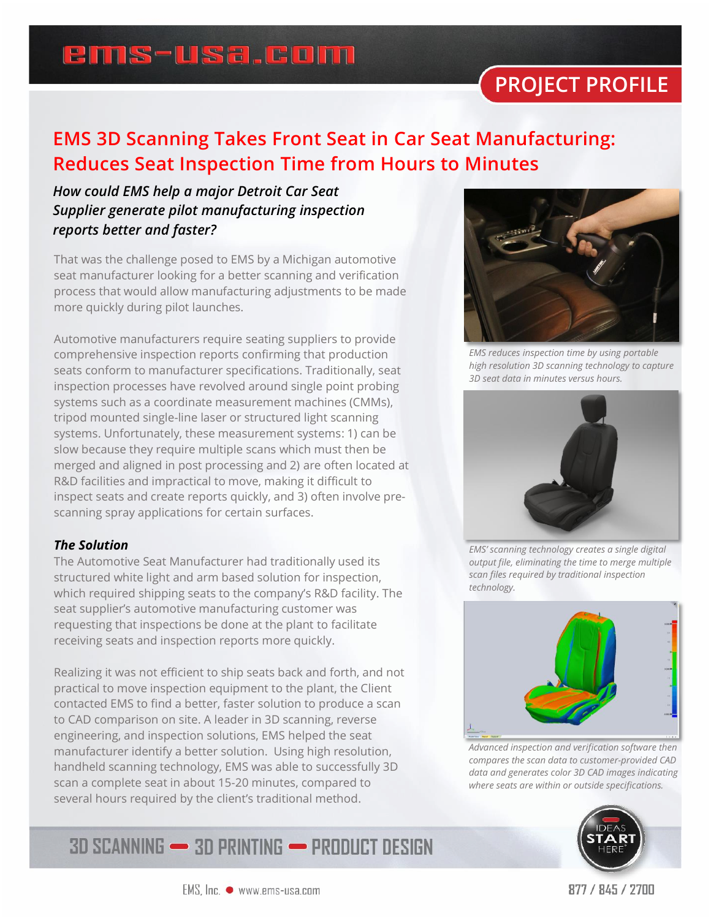## **ems-usa.com**

# **PROJECT PROFILE**

### **EMS 3D Scanning Takes Front Seat in Car Seat Manufacturing: Reduces Seat Inspection Time from Hours to Minutes**

### *How could EMS help a major Detroit Car Seat Supplier generate pilot manufacturing inspection reports better and faster?*

That was the challenge posed to EMS by a Michigan automotive seat manufacturer looking for a better scanning and verification process that would allow manufacturing adjustments to be made more quickly during pilot launches.

Automotive manufacturers require seating suppliers to provide comprehensive inspection reports confirming that production seats conform to manufacturer specifications. Traditionally, seat inspection processes have revolved around single point probing systems such as a coordinate measurement machines (CMMs), tripod mounted single-line laser or structured light scanning systems. Unfortunately, these measurement systems: 1) can be slow because they require multiple scans which must then be merged and aligned in post processing and 2) are often located at R&D facilities and impractical to move, making it difficult to inspect seats and create reports quickly, and 3) often involve prescanning spray applications for certain surfaces.

#### *The Solution*

The Automotive Seat Manufacturer had traditionally used its structured white light and arm based solution for inspection, which required shipping seats to the company's R&D facility. The seat supplier's automotive manufacturing customer was requesting that inspections be done at the plant to facilitate receiving seats and inspection reports more quickly.

Realizing it was not efficient to ship seats back and forth, and not practical to move inspection equipment to the plant, the Client contacted EMS to find a better, faster solution to produce a scan to CAD comparison on site. A leader in 3D scanning, reverse engineering, and inspection solutions, EMS helped the seat manufacturer identify a better solution. Using high resolution, handheld scanning technology, EMS was able to successfully 3D scan a complete seat in about 15-20 minutes, compared to several hours required by the client's traditional method.





*EMS reduces inspection time by using portable high resolution 3D scanning technology to capture 3D seat data in minutes versus hours.*



*EMS' scanning technology creates a single digital output file, eliminating the time to merge multiple scan files required by traditional inspection technology.*



*Advanced inspection and verification software then compares the scan data to customer-provided CAD data and generates color 3D CAD images indicating where seats are within or outside specifications.*



#### $EMS$ ,  $Inc.$   $\bullet$  www.ems-usa.com